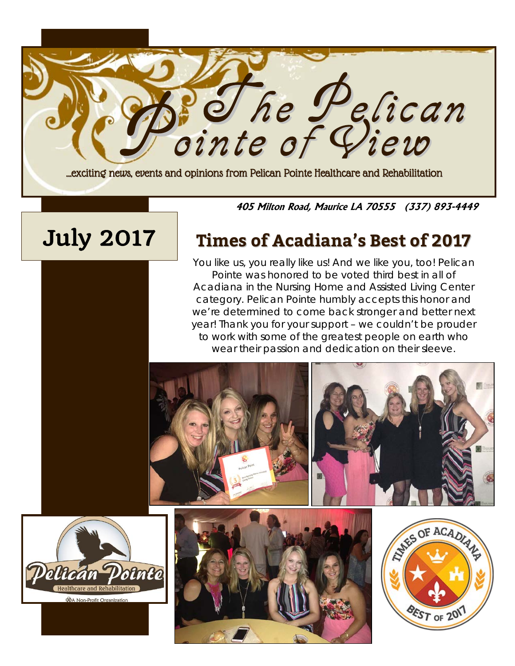

**405 Milton Road, Maurice LA 70555 (337) 893-4449**

# July 2017 **Times of Acadiana's Best of <sup>2017</sup>**

You like us, you really like us! And we like you, too! Pelican Pointe was honored to be voted third best in all of Acadiana in the Nursing Home and Assisted Living Center category. Pelican Pointe humbly accepts this honor and we're determined to come back stronger and better next year! Thank you for your support – we couldn't be prouder to work with some of the greatest people on earth who wear their passion and dedication on their sleeve.

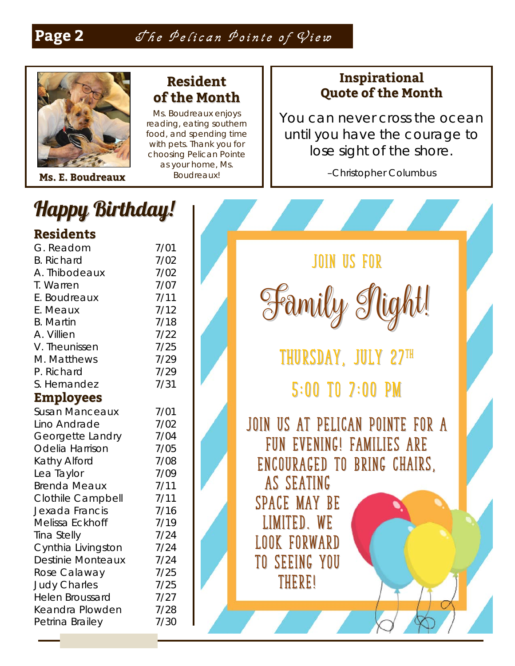### Page 2 5he Pelican Pointe of View



**Resident of the Month**

Ms. Boudreaux enjoys reading, eating southern food, and spending time with pets. Thank you for choosing Pelican Pointe as your home, Ms. Boudreaux! –Christopher Columbus **Ms. E. Boudreaux**

### **Inspirational Quote of the Month**

You can never cross the ocean until you have the courage to lose sight of the shore.

### Happy Birthday! **Residents**

| <u>vepidelit?</u>        |      |
|--------------------------|------|
| G. Readom                | 7/01 |
| <b>B.</b> Richard        | 7/02 |
| A. Thibodeaux            | 7/02 |
| T. Warren                | 7/07 |
| E. Boudreaux             | 7/11 |
| E. Meaux                 | 7/12 |
| <b>B.</b> Martin         | 7/18 |
| A. Villien               | 7/22 |
| V. Theunissen            | 7/25 |
| M. Matthews              | 7/29 |
| P. Richard               | 7/29 |
| S. Hernandez             | 7/31 |
| <b>Employees</b>         |      |
| <b>Susan Manceaux</b>    | 7/01 |
| Lino Andrade             | 7/02 |
| Georgette Landry         | 7/04 |
| Odelia Harrison          | 7/05 |
| Kathy Alford             | 7/08 |
| Lea Taylor               | 7/09 |
| <b>Brenda Meaux</b>      | 7/11 |
| Clothile Campbell        | 7/11 |
| Jexada Francis           | 7/16 |
| Melissa Eckhoff          | 7/19 |
| Tina Stelly              | 7/24 |
| Cynthia Livingston       | 7/24 |
| <b>Destinie Monteaux</b> | 7/24 |
| Rose Calaway             | 7/25 |
| <b>Judy Charles</b>      | 7/25 |
| <b>Helen Broussard</b>   | 7/27 |
| Keandra Plowden          | 7/28 |
| Petrina Brailey          | 7/30 |
|                          |      |

**Join us for** Family Night! **Thursday, July 27th 5:00 to 7:00 pm Join us at pelican pointe for a fun evening! Families are encouraged to bring chairs, As seating space may be limited. We look forward to seeing you there!**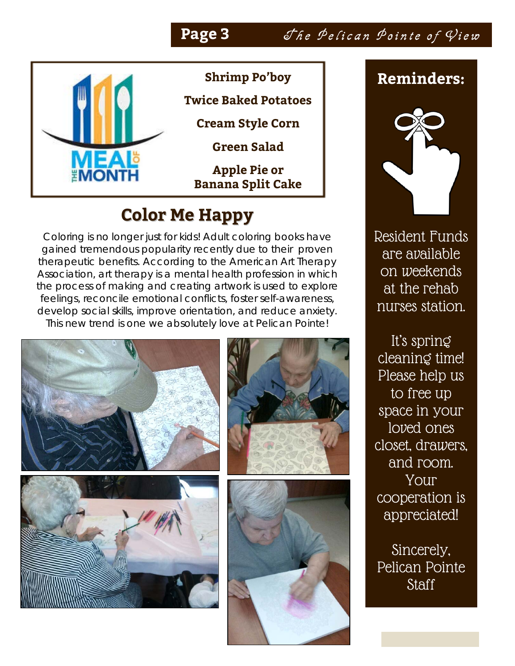### Page 3 She Pelican Pointe of View



**Shrimp Po'boy**

**Twice Baked Potatoes**

**Cream Style Corn**

**Green Salad**

**Apple Pie or Banana Split Cake** 

## **Color Me Happy**

Coloring is no longer just for kids! Adult coloring books have gained tremendous popularity recently due to their proven therapeutic benefits. According to the American Art Therapy Association, art therapy is a mental health profession in which the process of making and creating artwork is used to explore feelings, reconcile emotional conflicts, foster self-awareness, develop social skills, improve orientation, and reduce anxiety. This new trend is one we absolutely love at Pelican Pointe!



### **Reminders:**



Resident Funds are available on weekends at the rehab nurses station.

It's spring cleaning time! Please help us to free up space in your loved ones closet, drawers, and room. Your cooperation is appreciated!

Sincerely, Pelican Pointe **Staff**